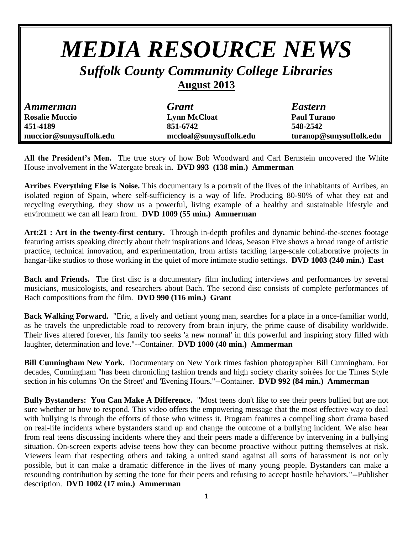## *MEDIA RESOURCE NEWS*

## *Suffolk County Community College Libraries*

## **August 2013**

| <b>Ammerman</b>         | <b>Grant</b>            | <b>Eastern</b>          |
|-------------------------|-------------------------|-------------------------|
| <b>Rosalie Muccio</b>   | <b>Lynn McCloat</b>     | <b>Paul Turano</b>      |
| 451-4189                | 851-6742                | 548-2542                |
| muccior@sunysuffolk.edu | mccloal@sunysuffolk.edu | turanop@sunysuffolk.edu |

**All the President's Men.** The true story of how Bob Woodward and Carl Bernstein uncovered the White House involvement in the Watergate break in**. DVD 993 (138 min.) Ammerman**

**Arribes Everything Else is Noise.** This documentary is a portrait of the lives of the inhabitants of Arribes, an isolated region of Spain, where self-sufficiency is a way of life. Producing 80-90% of what they eat and recycling everything, they show us a powerful, living example of a healthy and sustainable lifestyle and environment we can all learn from. **DVD 1009 (55 min.) Ammerman**

**Art:21 : Art in the twenty-first century.** Through in-depth profiles and dynamic behind-the-scenes footage featuring artists speaking directly about their inspirations and ideas, Season Five shows a broad range of artistic practice, technical innovation, and experimentation, from artists tackling large-scale collaborative projects in hangar-like studios to those working in the quiet of more intimate studio settings. **DVD 1003 (240 min.) East**

**Bach and Friends.** The first disc is a documentary film including interviews and performances by several musicians, musicologists, and researchers about Bach. The second disc consists of complete performances of Bach compositions from the film. **DVD 990 (116 min.) Grant**

**Back Walking Forward.** "Eric, a lively and defiant young man, searches for a place in a once-familiar world, as he travels the unpredictable road to recovery from brain injury, the prime cause of disability worldwide. Their lives altered forever, his family too seeks 'a new normal' in this powerful and inspiring story filled with laughter, determination and love."--Container. **DVD 1000 (40 min.) Ammerman**

**Bill Cunningham New York.** Documentary on New York times fashion photographer Bill Cunningham. For decades, Cunningham "has been chronicling fashion trends and high society charity soirées for the Times Style section in his columns 'On the Street' and 'Evening Hours."--Container. **DVD 992 (84 min.) Ammerman**

**Bully Bystanders: You Can Make A Difference.** "Most teens don't like to see their peers bullied but are not sure whether or how to respond. This video offers the empowering message that the most effective way to deal with bullying is through the efforts of those who witness it. Program features a compelling short drama based on real-life incidents where bystanders stand up and change the outcome of a bullying incident. We also hear from real teens discussing incidents where they and their peers made a difference by intervening in a bullying situation. On-screen experts advise teens how they can become proactive without putting themselves at risk. Viewers learn that respecting others and taking a united stand against all sorts of harassment is not only possible, but it can make a dramatic difference in the lives of many young people. Bystanders can make a resounding contribution by setting the tone for their peers and refusing to accept hostile behaviors."--Publisher description. **DVD 1002 (17 min.) Ammerman**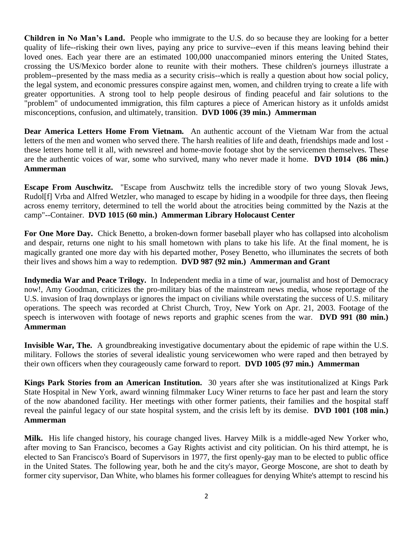**Children in No Man's Land.** People who immigrate to the U.S. do so because they are looking for a better quality of life--risking their own lives, paying any price to survive--even if this means leaving behind their loved ones. Each year there are an estimated 100,000 unaccompanied minors entering the United States, crossing the US/Mexico border alone to reunite with their mothers. These children's journeys illustrate a problem--presented by the mass media as a security crisis--which is really a question about how social policy, the legal system, and economic pressures conspire against men, women, and children trying to create a life with greater opportunities. A strong tool to help people desirous of finding peaceful and fair solutions to the "problem" of undocumented immigration, this film captures a piece of American history as it unfolds amidst misconceptions, confusion, and ultimately, transition. **DVD 1006 (39 min.) Ammerman**

**Dear America Letters Home From Vietnam.** An authentic account of the Vietnam War from the actual letters of the men and women who served there. The harsh realities of life and death, friendships made and lost these letters home tell it all, with newsreel and home-movie footage shot by the servicemen themselves. These are the authentic voices of war, some who survived, many who never made it home. **DVD 1014 (86 min.) Ammerman**

**Escape From Auschwitz.** "Escape from Auschwitz tells the incredible story of two young Slovak Jews, Rudol[f] Vrba and Alfred Wetzler, who managed to escape by hiding in a woodpile for three days, then fleeing across enemy territory, determined to tell the world about the atrocities being committed by the Nazis at the camp"--Container. **DVD 1015 (60 min.) Ammerman Library Holocaust Center**

**For One More Day.** Chick Benetto, a broken-down former baseball player who has collapsed into alcoholism and despair, returns one night to his small hometown with plans to take his life. At the final moment, he is magically granted one more day with his departed mother, Posey Benetto, who illuminates the secrets of both their lives and shows him a way to redemption. **DVD 987 (92 min.) Ammerman and Grant**

**Indymedia War and Peace Trilogy.** In Independent media in a time of war, journalist and host of Democracy now!, Amy Goodman, criticizes the pro-military bias of the mainstream news media, whose reportage of the U.S. invasion of Iraq downplays or ignores the impact on civilians while overstating the success of U.S. military operations. The speech was recorded at Christ Church, Troy, New York on Apr. 21, 2003. Footage of the speech is interwoven with footage of news reports and graphic scenes from the war. **DVD 991 (80 min.) Ammerman**

**Invisible War, The.** A groundbreaking investigative documentary about the epidemic of rape within the U.S. military. Follows the stories of several idealistic young servicewomen who were raped and then betrayed by their own officers when they courageously came forward to report. **DVD 1005 (97 min.) Ammerman**

**Kings Park Stories from an American Institution.** 30 years after she was institutionalized at Kings Park State Hospital in New York, award winning filmmaker Lucy Winer returns to face her past and learn the story of the now abandoned facility. Her meetings with other former patients, their families and the hospital staff reveal the painful legacy of our state hospital system, and the crisis left by its demise. **DVD 1001 (108 min.) Ammerman**

**Milk.** His life changed history, his courage changed lives. Harvey Milk is a middle-aged New Yorker who, after moving to San Francisco, becomes a Gay Rights activist and city politician. On his third attempt, he is elected to San Francisco's Board of Supervisors in 1977, the first openly-gay man to be elected to public office in the United States. The following year, both he and the city's mayor, George Moscone, are shot to death by former city supervisor, Dan White, who blames his former colleagues for denying White's attempt to rescind his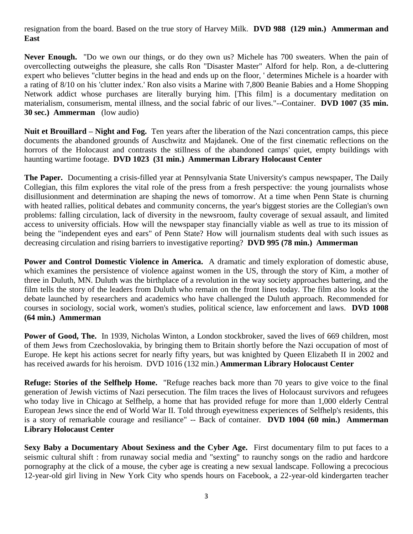resignation from the board. Based on the true story of Harvey Milk. **DVD 988 (129 min.) Ammerman and East**

**Never Enough.** "Do we own our things, or do they own us? Michele has 700 sweaters. When the pain of overcollecting outweighs the pleasure, she calls Ron "Disaster Master" Alford for help. Ron, a de-cluttering expert who believes "clutter begins in the head and ends up on the floor, ' determines Michele is a hoarder with a rating of 8/10 on his 'clutter index.' Ron also visits a Marine with 7,800 Beanie Babies and a Home Shopping Network addict whose purchases are literally burying him. [This film] is a documentary meditation on materialism, consumerism, mental illness, and the social fabric of our lives."--Container. **DVD 1007 (35 min. 30 sec.) Ammerman** (low audio)

**Nuit et Brouillard – Night and Fog.** Ten years after the liberation of the Nazi concentration camps, this piece documents the abandoned grounds of Auschwitz and Majdanek. One of the first cinematic reflections on the horrors of the Holocaust and contrasts the stillness of the abandoned camps' quiet, empty buildings with haunting wartime footage. **DVD 1023 (31 min.) Ammerman Library Holocaust Center**

**The Paper.** Documenting a crisis-filled year at Pennsylvania State University's campus newspaper, The Daily Collegian, this film explores the vital role of the press from a fresh perspective: the young journalists whose disillusionment and determination are shaping the news of tomorrow. At a time when Penn State is churning with heated rallies, political debates and community concerns, the year's biggest stories are the Collegian's own problems: falling circulation, lack of diversity in the newsroom, faulty coverage of sexual assault, and limited access to university officials. How will the newspaper stay financially viable as well as true to its mission of being the "independent eyes and ears" of Penn State? How will journalism students deal with such issues as decreasing circulation and rising barriers to investigative reporting? **DVD 995 (78 min.) Ammerman**

**Power and Control Domestic Violence in America.** A dramatic and timely exploration of domestic abuse, which examines the persistence of violence against women in the US, through the story of Kim, a mother of three in Duluth, MN. Duluth was the birthplace of a revolution in the way society approaches battering, and the film tells the story of the leaders from Duluth who remain on the front lines today. The film also looks at the debate launched by researchers and academics who have challenged the Duluth approach. Recommended for courses in sociology, social work, women's studies, political science, law enforcement and laws. **DVD 1008 (64 min.) Ammerman**

**Power of Good, The.** In 1939, Nicholas Winton, a London stockbroker, saved the lives of 669 children, most of them Jews from Czechoslovakia, by bringing them to Britain shortly before the Nazi occupation of most of Europe. He kept his actions secret for nearly fifty years, but was knighted by Queen Elizabeth II in 2002 and has received awards for his heroism. DVD 1016 (132 min.) **Ammerman Library Holocaust Center**

**Refuge: Stories of the Selfhelp Home.** "Refuge reaches back more than 70 years to give voice to the final generation of Jewish victims of Nazi persecution. The film traces the lives of Holocaust survivors and refugees who today live in Chicago at Selfhelp, a home that has provided refuge for more than 1,000 elderly Central European Jews since the end of World War II. Told through eyewitness experiences of Selfhelp's residents, this is a story of remarkable courage and resiliance" -- Back of container. **DVD 1004 (60 min.) Ammerman Library Holocaust Center**

**Sexy Baby a Documentary About Sexiness and the Cyber Age.** First documentary film to put faces to a seismic cultural shift : from runaway social media and "sexting" to raunchy songs on the radio and hardcore pornography at the click of a mouse, the cyber age is creating a new sexual landscape. Following a precocious 12-year-old girl living in New York City who spends hours on Facebook, a 22-year-old kindergarten teacher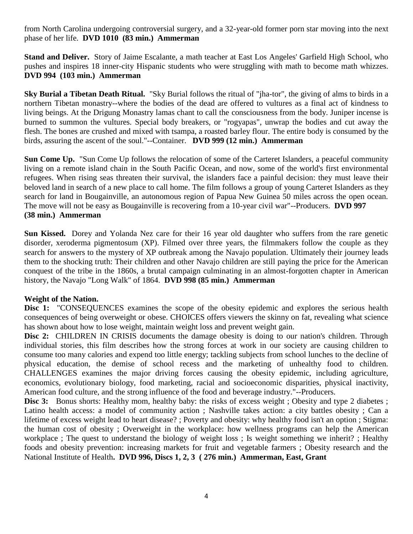from North Carolina undergoing controversial surgery, and a 32-year-old former porn star moving into the next phase of her life. **DVD 1010 (83 min.) Ammerman**

**Stand and Deliver.** Story of Jaime Escalante, a math teacher at East Los Angeles' Garfield High School, who pushes and inspires 18 inner-city Hispanic students who were struggling with math to become math whizzes. **DVD 994 (103 min.) Ammerman**

**Sky Burial a Tibetan Death Ritual.** "Sky Burial follows the ritual of "jha-tor", the giving of alms to birds in a northern Tibetan monastry--where the bodies of the dead are offered to vultures as a final act of kindness to living beings. At the Drigung Monastry lamas chant to call the consciousness from the body. Juniper incense is burned to summon the vultures. Special body breakers, or "rogyapas", unwrap the bodies and cut away the flesh. The bones are crushed and mixed with tsampa, a roasted barley flour. The entire body is consumed by the birds, assuring the ascent of the soul."--Container. **DVD 999 (12 min.) Ammerman**

**Sun Come Up.** "Sun Come Up follows the relocation of some of the Carteret Islanders, a peaceful community living on a remote island chain in the South Pacific Ocean, and now, some of the world's first environmental refugees. When rising seas threaten their survival, the islanders face a painful decision: they must leave their beloved land in search of a new place to call home. The film follows a group of young Carteret Islanders as they search for land in Bougainville, an autonomous region of Papua New Guinea 50 miles across the open ocean. The move will not be easy as Bougainville is recovering from a 10-year civil war"--Producers. **DVD 997 (38 min.) Ammerman**

**Sun Kissed.** Dorey and Yolanda Nez care for their 16 year old daughter who suffers from the rare genetic disorder, xeroderma pigmentosum (XP). Filmed over three years, the filmmakers follow the couple as they search for answers to the mystery of XP outbreak among the Navajo population. Ultimately their journey leads them to the shocking truth: Their children and other Navajo children are still paying the price for the American conquest of the tribe in the 1860s, a brutal campaign culminating in an almost-forgotten chapter in American history, the Navajo "Long Walk" of 1864. **DVD 998 (85 min.) Ammerman**

## **Weight of the Nation.**

Disc 1: "CONSEQUENCES examines the scope of the obesity epidemic and explores the serious health consequences of being overweight or obese. CHOICES offers viewers the skinny on fat, revealing what science has shown about how to lose weight, maintain weight loss and prevent weight gain.

Disc 2: CHILDREN IN CRISIS documents the damage obesity is doing to our nation's children. Through individual stories, this film describes how the strong forces at work in our society are causing children to consume too many calories and expend too little energy; tackling subjects from school lunches to the decline of physical education, the demise of school recess and the marketing of unhealthy food to children. CHALLENGES examines the major driving forces causing the obesity epidemic, including agriculture, economics, evolutionary biology, food marketing, racial and socioeconomic disparities, physical inactivity, American food culture, and the strong influence of the food and beverage industry."--Producers.

**Disc 3:** Bonus shorts: Healthy mom, healthy baby: the risks of excess weight ; Obesity and type 2 diabetes ; Latino health access: a model of community action ; Nashville takes action: a city battles obesity ; Can a lifetime of excess weight lead to heart disease? ; Poverty and obesity: why healthy food isn't an option ; Stigma: the human cost of obesity ; Overweight in the workplace: how wellness programs can help the American workplace ; The quest to understand the biology of weight loss ; Is weight something we inherit? ; Healthy foods and obesity prevention: increasing markets for fruit and vegetable farmers ; Obesity research and the National Institute of Health**. DVD 996, Discs 1, 2, 3 ( 276 min.) Ammerman, East, Grant**